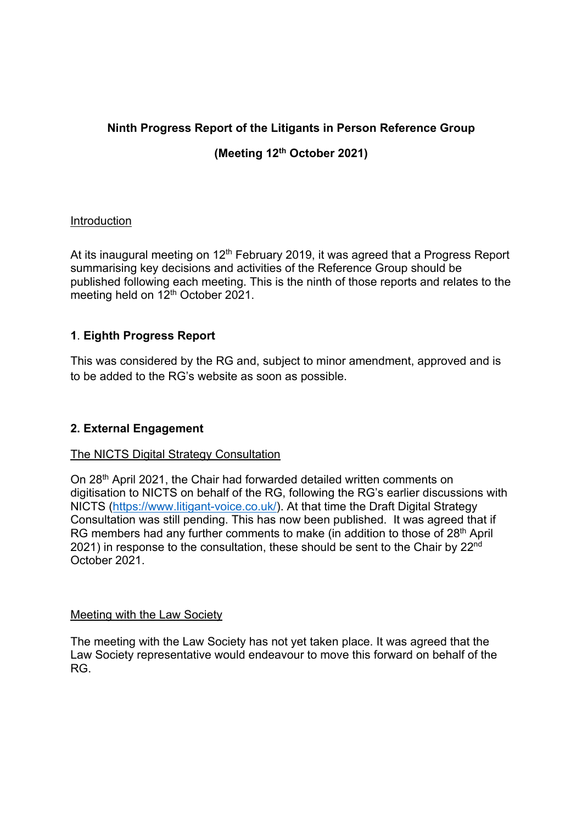## **Ninth Progress Report of the Litigants in Person Reference Group**

# **(Meeting 12th October 2021)**

### Introduction

At its inaugural meeting on  $12<sup>th</sup>$  February 2019, it was agreed that a Progress Report summarising key decisions and activities of the Reference Group should be published following each meeting. This is the ninth of those reports and relates to the meeting held on 12<sup>th</sup> October 2021.

## **1**. **Eighth Progress Report**

This was considered by the RG and, subject to minor amendment, approved and is to be added to the RG's website as soon as possible.

## **2. External Engagement**

#### The NICTS Digital Strategy Consultation

On 28<sup>th</sup> April 2021, the Chair had forwarded detailed written comments on digitisation to NICTS on behalf of the RG, following the RG's earlier discussions with NICTS (https://www.litigant-voice.co.uk/). At that time the Draft Digital Strategy Consultation was still pending. This has now been published. It was agreed that if RG members had any further comments to make (in addition to those of 28<sup>th</sup> April 2021) in response to the consultation, these should be sent to the Chair by 22<sup>nd</sup> October 2021.

#### Meeting with the Law Society

The meeting with the Law Society has not yet taken place. It was agreed that the Law Society representative would endeavour to move this forward on behalf of the RG.